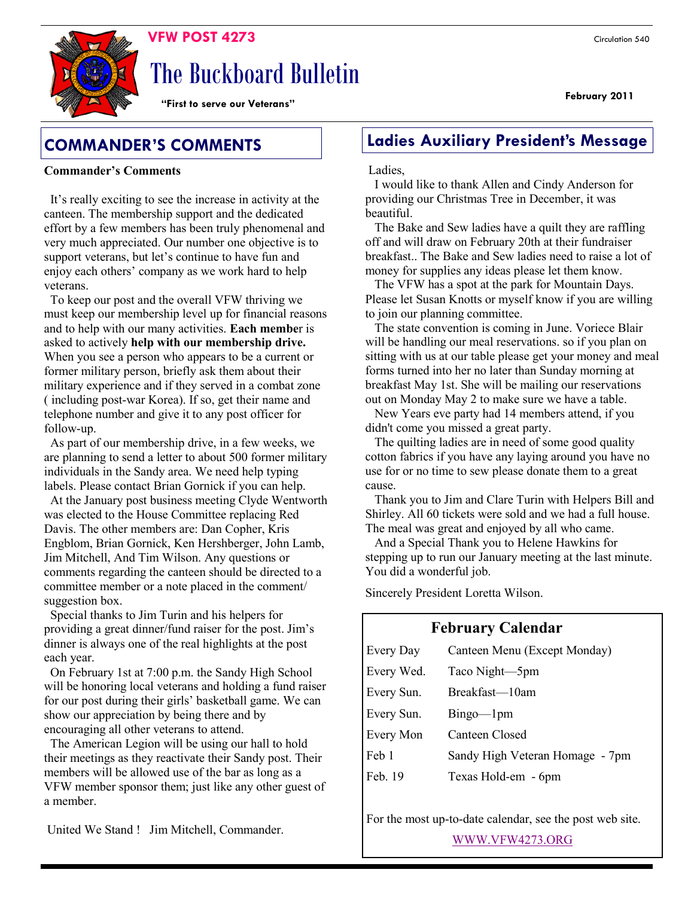**February 2011** 

# The Buckboard Bulletin

**"First to serve our Veterans"**

## **Commander's Comments**

 It's really exciting to see the increase in activity at the canteen. The membership support and the dedicated effort by a few members has been truly phenomenal and very much appreciated. Our number one objective is to support veterans, but let's continue to have fun and enjoy each others' company as we work hard to help veterans.

 To keep our post and the overall VFW thriving we must keep our membership level up for financial reasons and to help with our many activities. **Each membe**r is asked to actively **help with our membership drive.** When you see a person who appears to be a current or former military person, briefly ask them about their military experience and if they served in a combat zone ( including post-war Korea). If so, get their name and telephone number and give it to any post officer for follow-up.

 As part of our membership drive, in a few weeks, we are planning to send a letter to about 500 former military individuals in the Sandy area. We need help typing labels. Please contact Brian Gornick if you can help.

 At the January post business meeting Clyde Wentworth was elected to the House Committee replacing Red Davis. The other members are: Dan Copher, Kris Engblom, Brian Gornick, Ken Hershberger, John Lamb, Jim Mitchell, And Tim Wilson. Any questions or comments regarding the canteen should be directed to a committee member or a note placed in the comment/ suggestion box.

 Special thanks to Jim Turin and his helpers for providing a great dinner/fund raiser for the post. Jim's dinner is always one of the real highlights at the post each year.

 On February 1st at 7:00 p.m. the Sandy High School will be honoring local veterans and holding a fund raiser for our post during their girls' basketball game. We can show our appreciation by being there and by encouraging all other veterans to attend.

 The American Legion will be using our hall to hold their meetings as they reactivate their Sandy post. Their members will be allowed use of the bar as long as a VFW member sponsor them; just like any other guest of a member.

# **COMMANDER'S COMMENTS Ladies Auxiliary President's Message**

#### Ladies,

 I would like to thank Allen and Cindy Anderson for providing our Christmas Tree in December, it was beautiful.

 The Bake and Sew ladies have a quilt they are raffling off and will draw on February 20th at their fundraiser breakfast.. The Bake and Sew ladies need to raise a lot of money for supplies any ideas please let them know.

 The VFW has a spot at the park for Mountain Days. Please let Susan Knotts or myself know if you are willing to join our planning committee.

 The state convention is coming in June. Voriece Blair will be handling our meal reservations. so if you plan on sitting with us at our table please get your money and meal forms turned into her no later than Sunday morning at breakfast May 1st. She will be mailing our reservations out on Monday May 2 to make sure we have a table.

 New Years eve party had 14 members attend, if you didn't come you missed a great party.

 The quilting ladies are in need of some good quality cotton fabrics if you have any laying around you have no use for or no time to sew please donate them to a great cause.

 Thank you to Jim and Clare Turin with Helpers Bill and Shirley. All 60 tickets were sold and we had a full house. The meal was great and enjoyed by all who came.

 And a Special Thank you to Helene Hawkins for stepping up to run our January meeting at the last minute. You did a wonderful job.

Sincerely President Loretta Wilson.

# **February Calendar**

| Every Day  | Canteen Menu (Except Monday)    |  |  |
|------------|---------------------------------|--|--|
| Every Wed. | Taco Night-5pm                  |  |  |
| Every Sun. | Breakfast-10am                  |  |  |
| Every Sun. | $Bingo$ — $1pm$                 |  |  |
| Every Mon  | Canteen Closed                  |  |  |
| Feb 1      | Sandy High Veteran Homage - 7pm |  |  |
| Feb. 19    | Texas Hold-em - 6pm             |  |  |

For the most up-to-date calendar, see the post web site.

[WWW.VFW4273.ORG](http://WWW.VFW4273.ORG)

United We Stand ! Jim Mitchell, Commander.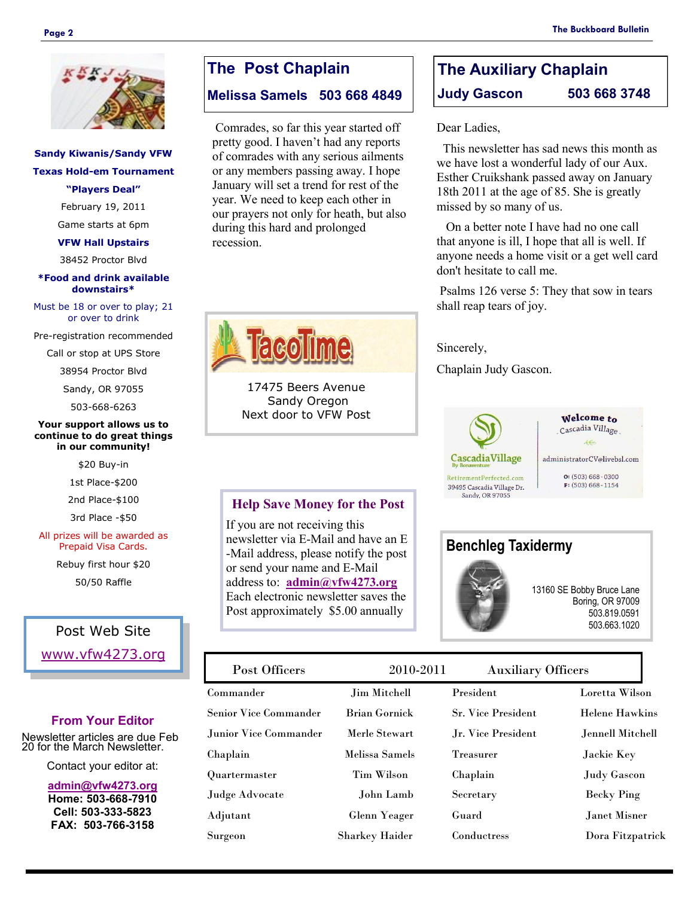

### **Sandy Kiwanis/Sandy VFW Texas Hold-em Tournament "Players Deal"**

February 19, 2011

Game starts at 6pm

**VFW Hall Upstairs**

38452 Proctor Blvd

#### **\*Food and drink available downstairs\***

Must be 18 or over to play; 21 or over to drink

Pre-registration recommended

Call or stop at UPS Store

38954 Proctor Blvd

Sandy, OR 97055

503-668-6263

#### **Your support allows us to continue to do great things in our community!**

\$20 Buy-in

1st Place-\$200

2nd Place-\$100

3rd Place -\$50

#### All prizes will be awarded as Prepaid Visa Cards.

Rebuy first hour \$20

50/50 Raffle

### Post Web Site

[www.vfw4273.org](http://www.vfw4273.org/)

#### **From Your Editor**

Newsletter articles are due Feb 20 for the March Newsletter.

Contact your editor at:

**[admin@vfw4273.org](mailto:admin@vfw4273.org) Home: 503-668-7910 Cell: 503-333-5823 FAX: 503-766-3158**

# **The Post Chaplain**

### **Melissa Samels 503 668 4849**

Comrades, so far this year started off pretty good. I haven't had any reports of comrades with any serious ailments or any members passing away. I hope January will set a trend for rest of the year. We need to keep each other in our prayers not only for heath, but also during this hard and prolonged recession.



17475 Beers Avenue Sandy Oregon Next door to VFW Post

#### **Help Save Money for the Post**

If you are not receiving this newsletter via E-Mail and have an E -Mail address, please notify the post or send your name and E-Mail address to: **[admin@vfw4273.org](mailto:admin@vfw4273.org)** Each electronic newsletter saves the Post approximately \$5.00 annually

| <b>Auxiliary Officers</b><br>2010-2011 |
|----------------------------------------|
|                                        |

**Benchleg Taxidermy**

| T OPE OTHOOLD          | 2010 2011             | $\text{maxmax}$ , $\text{maxmax}$ |                       |
|------------------------|-----------------------|-----------------------------------|-----------------------|
| Commander              | <b>Jim Mitchell</b>   | President                         | Loretta Wilson        |
| Senior Vice Commander  | <b>Brian Gornick</b>  | <b>Sr. Vice President</b>         | <b>Helene Hawkins</b> |
| Junior Vice Commander. | Merle Stewart         | Jr. Vice President                | Jennell Mitchell      |
| Chaplain               | Melissa Samels        | Treasurer                         | Jackie Key            |
| Quartermaster          | Tim Wilson            | Chaplain                          | <b>Judy Gascon</b>    |
| Judge Advocate         | John Lamb             | Secretary                         | <b>Becky Ping</b>     |
| Adjutant               | Glenn Yeager          | Guard                             | Janet Misner          |
| Surgeon                | <b>Sharkey Haider</b> | Conductress                       | Dora Fitzpatrick      |
|                        |                       |                                   |                       |

# **The Auxiliary Chaplain Judy Gascon 503 668 3748**

Dear Ladies,

 This newsletter has sad news this month as we have lost a wonderful lady of our Aux. Esther Cruikshank passed away on January 18th 2011 at the age of 85. She is greatly missed by so many of us.

 On a better note I have had no one call that anyone is ill, I hope that all is well. If anyone needs a home visit or a get well card don't hesitate to call me.

Psalms 126 verse 5: They that sow in tears shall reap tears of joy.

#### Sincerely,

Chaplain Judy Gascon.



Welcome to Cascadia Village administratorCV@livebsl.com

> $O: (503) 668 - 0300$  $F: (503) 668 - 1154$

13160 SE Bobby Bruce Lane

Boring, OR 97009 503.819.0591 503.663.1020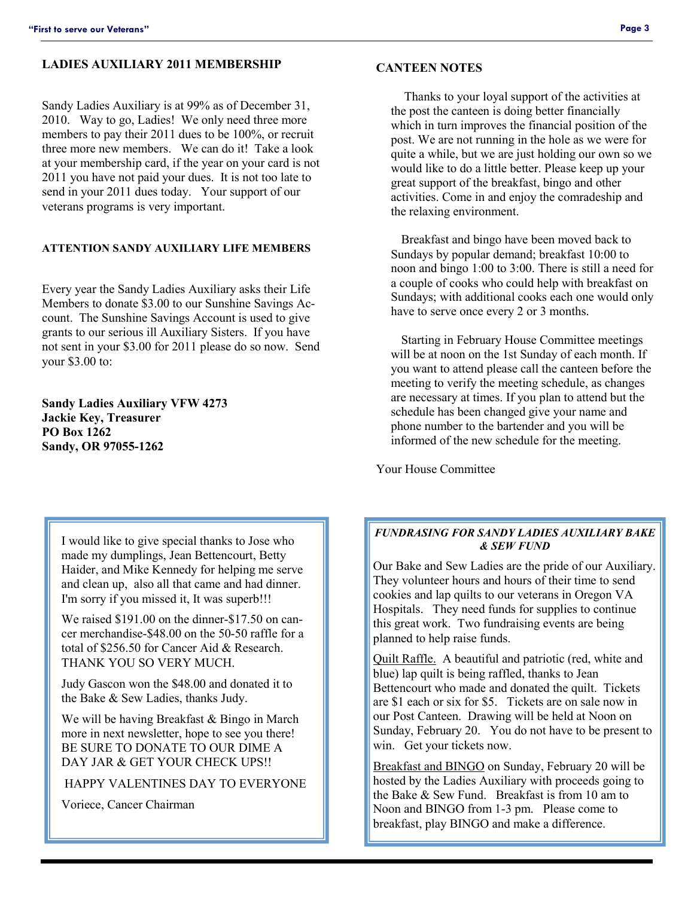#### **LADIES AUXILIARY 2011 MEMBERSHIP**

Sandy Ladies Auxiliary is at 99% as of December 31, 2010. Way to go, Ladies! We only need three more members to pay their 2011 dues to be 100%, or recruit three more new members. We can do it! Take a look at your membership card, if the year on your card is not 2011 you have not paid your dues. It is not too late to send in your 2011 dues today. Your support of our veterans programs is very important.

#### **ATTENTION SANDY AUXILIARY LIFE MEMBERS**

Every year the Sandy Ladies Auxiliary asks their Life Members to donate \$3.00 to our Sunshine Savings Account. The Sunshine Savings Account is used to give grants to our serious ill Auxiliary Sisters. If you have not sent in your \$3.00 for 2011 please do so now. Send your \$3.00 to:

**Sandy Ladies Auxiliary VFW 4273 Jackie Key, Treasurer PO Box 1262 Sandy, OR 97055-1262**

I would like to give special thanks to Jose who made my dumplings, Jean Bettencourt, Betty Haider, and Mike Kennedy for helping me serve and clean up, also all that came and had dinner. I'm sorry if you missed it, It was superb!!!

We raised \$191.00 on the dinner-\$17.50 on cancer merchandise-\$48.00 on the 50-50 raffle for a total of \$256.50 for Cancer Aid & Research. THANK YOU SO VERY MUCH.

Judy Gascon won the \$48.00 and donated it to the Bake & Sew Ladies, thanks Judy.

We will be having Breakfast & Bingo in March more in next newsletter, hope to see you there! BE SURE TO DONATE TO OUR DIME A DAY JAR & GET YOUR CHECK UPS!!

HAPPY VALENTINES DAY TO EVERYONE

Voriece, Cancer Chairman

#### **CANTEEN NOTES**

 Thanks to your loyal support of the activities at the post the canteen is doing better financially which in turn improves the financial position of the post. We are not running in the hole as we were for quite a while, but we are just holding our own so we would like to do a little better. Please keep up your great support of the breakfast, bingo and other activities. Come in and enjoy the comradeship and the relaxing environment.

 Breakfast and bingo have been moved back to Sundays by popular demand; breakfast 10:00 to noon and bingo 1:00 to 3:00. There is still a need for a couple of cooks who could help with breakfast on Sundays; with additional cooks each one would only have to serve once every 2 or 3 months.

 Starting in February House Committee meetings will be at noon on the 1st Sunday of each month. If you want to attend please call the canteen before the meeting to verify the meeting schedule, as changes are necessary at times. If you plan to attend but the schedule has been changed give your name and phone number to the bartender and you will be informed of the new schedule for the meeting.

Your House Committee

#### *FUNDRASING FOR SANDY LADIES AUXILIARY BAKE & SEW FUND*

Our Bake and Sew Ladies are the pride of our Auxiliary. They volunteer hours and hours of their time to send cookies and lap quilts to our veterans in Oregon VA Hospitals. They need funds for supplies to continue this great work. Two fundraising events are being planned to help raise funds.

Quilt Raffle. A beautiful and patriotic (red, white and blue) lap quilt is being raffled, thanks to Jean Bettencourt who made and donated the quilt. Tickets are \$1 each or six for \$5. Tickets are on sale now in our Post Canteen. Drawing will be held at Noon on Sunday, February 20. You do not have to be present to win. Get your tickets now.

Breakfast and BINGO on Sunday, February 20 will be hosted by the Ladies Auxiliary with proceeds going to the Bake & Sew Fund. Breakfast is from 10 am to Noon and BINGO from 1-3 pm. Please come to breakfast, play BINGO and make a difference.